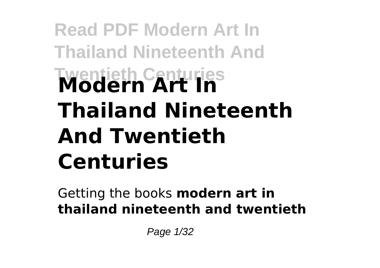# **Read PDF Modern Art In Thailand Nineteenth And Twentieth Centuries Modern Art In Thailand Nineteenth And Twentieth Centuries**

Getting the books **modern art in thailand nineteenth and twentieth**

Page 1/32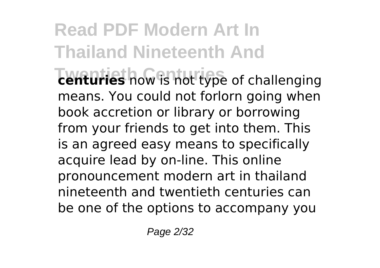**Read PDF Modern Art In Thailand Nineteenth And The Twenturies** now is not type of challenging means. You could not forlorn going when book accretion or library or borrowing from your friends to get into them. This is an agreed easy means to specifically acquire lead by on-line. This online pronouncement modern art in thailand nineteenth and twentieth centuries can be one of the options to accompany you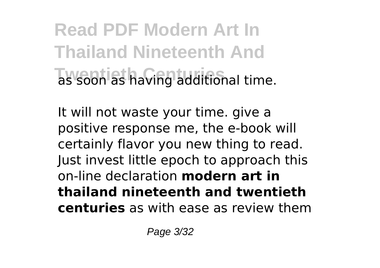**Read PDF Modern Art In Thailand Nineteenth And Twentieth Centuries** as soon as having additional time.

It will not waste your time. give a positive response me, the e-book will certainly flavor you new thing to read. Just invest little epoch to approach this on-line declaration **modern art in thailand nineteenth and twentieth centuries** as with ease as review them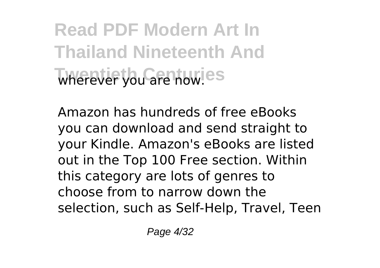**Read PDF Modern Art In Thailand Nineteenth And** wherever you are now.<sup>es</sup>

Amazon has hundreds of free eBooks you can download and send straight to your Kindle. Amazon's eBooks are listed out in the Top 100 Free section. Within this category are lots of genres to choose from to narrow down the selection, such as Self-Help, Travel, Teen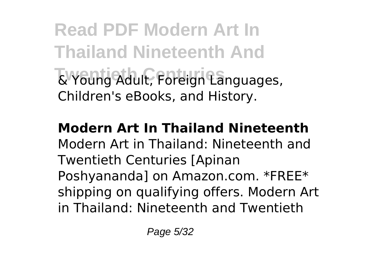**Read PDF Modern Art In Thailand Nineteenth And Twentieth Centuries** & Young Adult, Foreign Languages, Children's eBooks, and History.

**Modern Art In Thailand Nineteenth** Modern Art in Thailand: Nineteenth and Twentieth Centuries [Apinan Poshyananda] on Amazon.com. \*FREE\* shipping on qualifying offers. Modern Art in Thailand: Nineteenth and Twentieth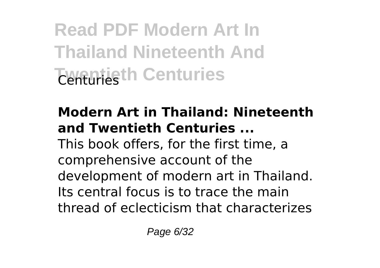**Read PDF Modern Art In Thailand Nineteenth And Twentieth Centuries** 

### **Modern Art in Thailand: Nineteenth and Twentieth Centuries ...**

This book offers, for the first time, a comprehensive account of the development of modern art in Thailand. Its central focus is to trace the main thread of eclecticism that characterizes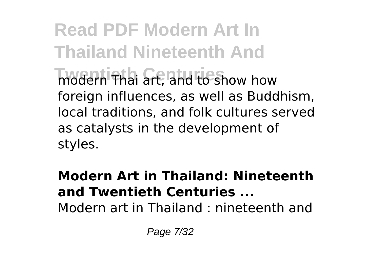**Read PDF Modern Art In Thailand Nineteenth And Twentieth Centuries** modern Thai art, and to show how foreign influences, as well as Buddhism, local traditions, and folk cultures served as catalysts in the development of styles.

#### **Modern Art in Thailand: Nineteenth and Twentieth Centuries ...** Modern art in Thailand : nineteenth and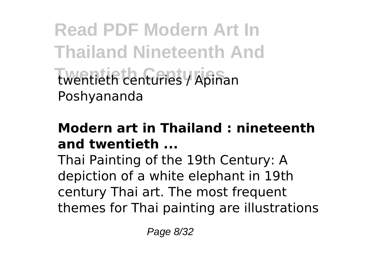**Read PDF Modern Art In Thailand Nineteenth And Twentieth Centuries** twentieth centuries / Apinan Poshyananda

#### **Modern art in Thailand : nineteenth and twentieth ...**

Thai Painting of the 19th Century: A depiction of a white elephant in 19th century Thai art. The most frequent themes for Thai painting are illustrations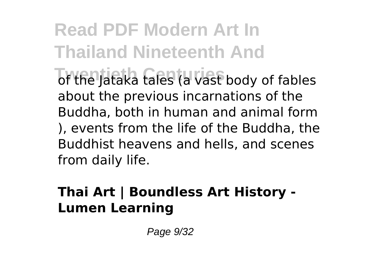**Read PDF Modern Art In Thailand Nineteenth And The Jataka tales (a vast body of fables** about the previous incarnations of the Buddha, both in human and animal form ), events from the life of the Buddha, the Buddhist heavens and hells, and scenes from daily life.

### **Thai Art | Boundless Art History - Lumen Learning**

Page 9/32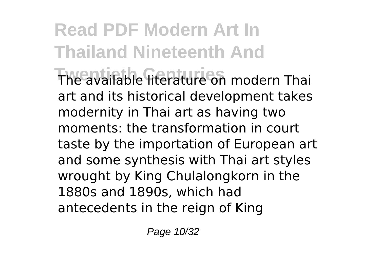**Read PDF Modern Art In Thailand Nineteenth And Twentieth Centuries** The available literature on modern Thai art and its historical development takes modernity in Thai art as having two moments: the transformation in court taste by the importation of European art and some synthesis with Thai art styles wrought by King Chulalongkorn in the 1880s and 1890s, which had antecedents in the reign of King

Page 10/32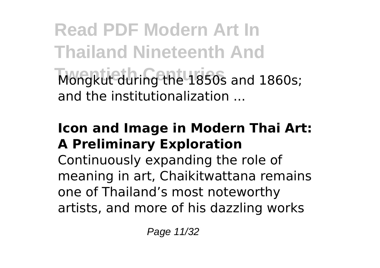**Read PDF Modern Art In Thailand Nineteenth And** Mongkut during the 1850s and 1860s; and the institutionalization ...

#### **Icon and Image in Modern Thai Art: A Preliminary Exploration**

Continuously expanding the role of meaning in art, Chaikitwattana remains one of Thailand's most noteworthy artists, and more of his dazzling works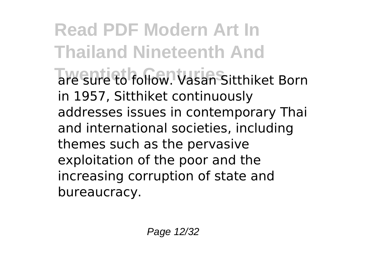**Read PDF Modern Art In Thailand Nineteenth And Twentieth Centuries** are sure to follow. Vasan Sitthiket Born in 1957, Sitthiket continuously addresses issues in contemporary Thai and international societies, including themes such as the pervasive exploitation of the poor and the increasing corruption of state and bureaucracy.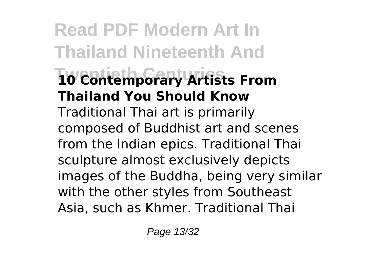**Read PDF Modern Art In Thailand Nineteenth And Twentieth Centuries 10 Contemporary Artists From Thailand You Should Know** Traditional Thai art is primarily composed of Buddhist art and scenes from the Indian epics. Traditional Thai sculpture almost exclusively depicts images of the Buddha, being very similar with the other styles from Southeast Asia, such as Khmer. Traditional Thai

Page 13/32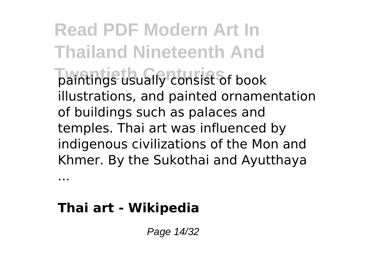**Read PDF Modern Art In Thailand Nineteenth And Twentieth Centuries** paintings usually consist of book illustrations, and painted ornamentation of buildings such as palaces and temples. Thai art was influenced by indigenous civilizations of the Mon and Khmer. By the Sukothai and Ayutthaya

### **Thai art - Wikipedia**

...

Page 14/32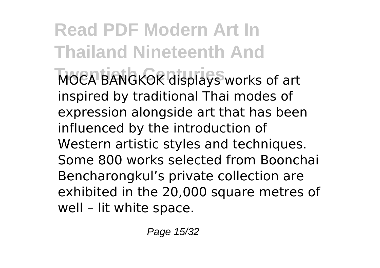**Read PDF Modern Art In Thailand Nineteenth And MOCA BANGKOK displays works of art** inspired by traditional Thai modes of expression alongside art that has been influenced by the introduction of Western artistic styles and techniques. Some 800 works selected from Boonchai Bencharongkul's private collection are exhibited in the 20,000 square metres of well – lit white space.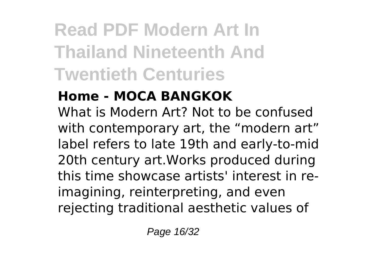# **Read PDF Modern Art In Thailand Nineteenth And Twentieth Centuries**

## **Home - MOCA BANGKOK**

What is Modern Art? Not to be confused with contemporary art, the "modern art" label refers to late 19th and early-to-mid 20th century art.Works produced during this time showcase artists' interest in reimagining, reinterpreting, and even rejecting traditional aesthetic values of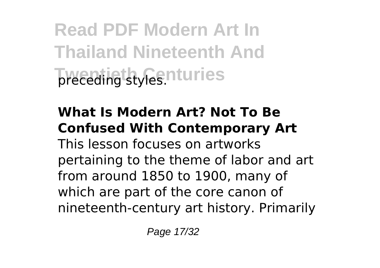**Read PDF Modern Art In Thailand Nineteenth And Tweeding styles.nturies** 

# **What Is Modern Art? Not To Be Confused With Contemporary Art**

This lesson focuses on artworks pertaining to the theme of labor and art from around 1850 to 1900, many of which are part of the core canon of nineteenth-century art history. Primarily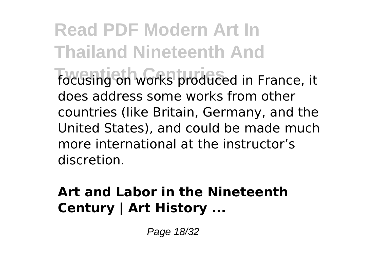**Read PDF Modern Art In Thailand Nineteenth And The Century on Works produced in France, it** does address some works from other countries (like Britain, Germany, and the United States), and could be made much more international at the instructor's discretion.

#### **Art and Labor in the Nineteenth Century | Art History ...**

Page 18/32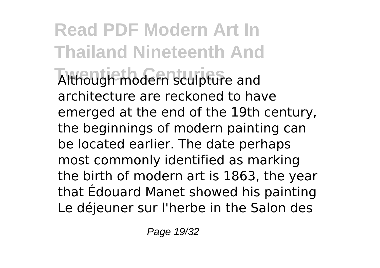**Read PDF Modern Art In Thailand Nineteenth And Twentieth Centuries** Although modern sculpture and architecture are reckoned to have emerged at the end of the 19th century, the beginnings of modern painting can be located earlier. The date perhaps most commonly identified as marking the birth of modern art is 1863, the year that Édouard Manet showed his painting Le déjeuner sur l'herbe in the Salon des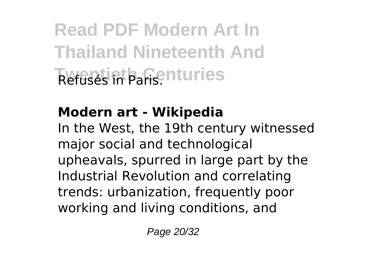**Read PDF Modern Art In Thailand Nineteenth And Twentieth Centuries** Refusés in Paris.

# **Modern art - Wikipedia**

In the West, the 19th century witnessed major social and technological upheavals, spurred in large part by the Industrial Revolution and correlating trends: urbanization, frequently poor working and living conditions, and

Page 20/32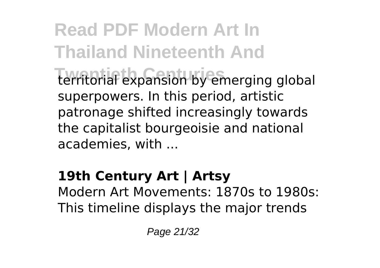**Read PDF Modern Art In Thailand Nineteenth And Twentieth Centuries** territorial expansion by emerging global superpowers. In this period, artistic patronage shifted increasingly towards the capitalist bourgeoisie and national academies, with ...

#### **19th Century Art | Artsy** Modern Art Movements: 1870s to 1980s: This timeline displays the major trends

Page 21/32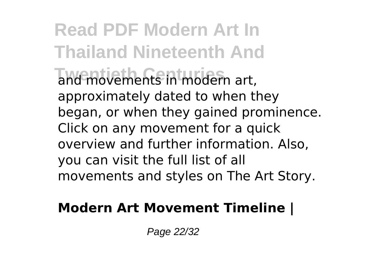**Read PDF Modern Art In Thailand Nineteenth And** and movements in modern art, approximately dated to when they began, or when they gained prominence. Click on any movement for a quick overview and further information. Also, you can visit the full list of all movements and styles on The Art Story.

#### **Modern Art Movement Timeline |**

Page 22/32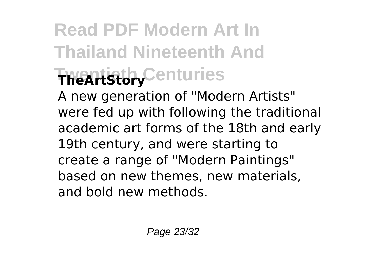# **Read PDF Modern Art In Thailand Nineteenth And Twentieth Centuries TheArtStory**

A new generation of "Modern Artists" were fed up with following the traditional academic art forms of the 18th and early 19th century, and were starting to create a range of "Modern Paintings" based on new themes, new materials, and bold new methods.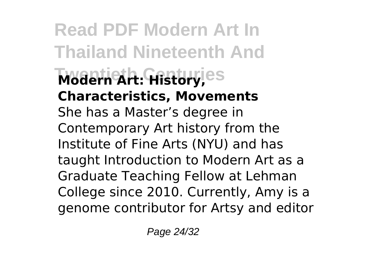**Read PDF Modern Art In Thailand Nineteenth And Twentieth Centuries Modern Art: History, Characteristics, Movements** She has a Master's degree in Contemporary Art history from the Institute of Fine Arts (NYU) and has taught Introduction to Modern Art as a Graduate Teaching Fellow at Lehman College since 2010. Currently, Amy is a genome contributor for Artsy and editor

Page 24/32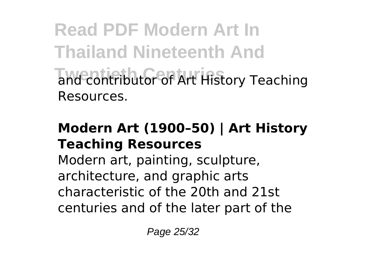**Read PDF Modern Art In Thailand Nineteenth And** and contributor of Art History Teaching Resources.

#### **Modern Art (1900–50) | Art History Teaching Resources**

Modern art, painting, sculpture, architecture, and graphic arts characteristic of the 20th and 21st centuries and of the later part of the

Page 25/32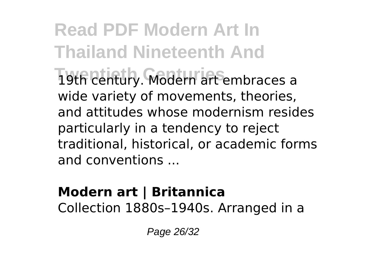**Read PDF Modern Art In Thailand Nineteenth And Twentieth Centuries** 19th century. Modern art embraces a wide variety of movements, theories, and attitudes whose modernism resides particularly in a tendency to reject traditional, historical, or academic forms and conventions ...

#### **Modern art | Britannica** Collection 1880s–1940s. Arranged in a

Page 26/32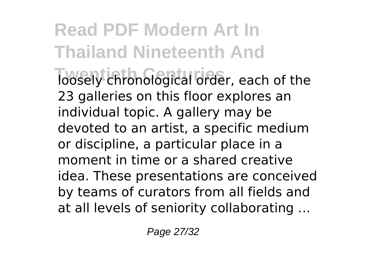**Read PDF Modern Art In Thailand Nineteenth And The Twentieth Chronological order, each of the** 23 galleries on this floor explores an individual topic. A gallery may be devoted to an artist, a specific medium or discipline, a particular place in a moment in time or a shared creative idea. These presentations are conceived by teams of curators from all fields and at all levels of seniority collaborating ...

Page 27/32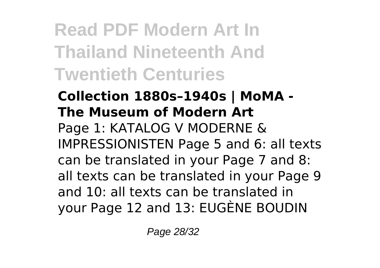**Read PDF Modern Art In Thailand Nineteenth And Twentieth Centuries**

**Collection 1880s–1940s | MoMA - The Museum of Modern Art** Page 1: KATALOG V MODERNE & IMPRESSIONISTEN Page 5 and 6: all texts can be translated in your Page 7 and 8: all texts can be translated in your Page 9 and 10: all texts can be translated in your Page 12 and 13: EUGÈNE BOUDIN

Page 28/32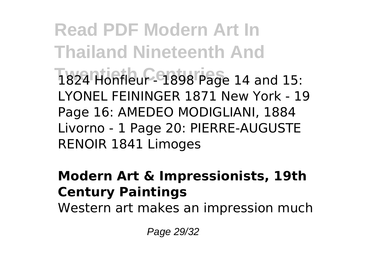**Read PDF Modern Art In Thailand Nineteenth And Twentieth Centuries** 1824 Honfleur - 1898 Page 14 and 15: LYONEL FEININGER 1871 New York - 19 Page 16: AMEDEO MODIGLIANI, 1884 Livorno - 1 Page 20: PIERRE-AUGUSTE RENOIR 1841 Limoges

#### **Modern Art & Impressionists, 19th Century Paintings**

Western art makes an impression much

Page 29/32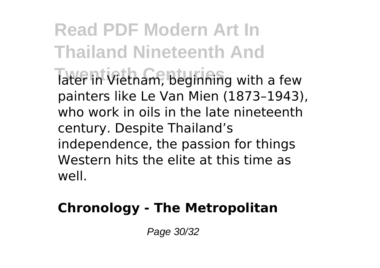**Read PDF Modern Art In Thailand Nineteenth And** Tater in Vietnam, beginning with a few painters like Le Van Mien (1873–1943), who work in oils in the late nineteenth century. Despite Thailand's independence, the passion for things Western hits the elite at this time as well.

### **Chronology - The Metropolitan**

Page 30/32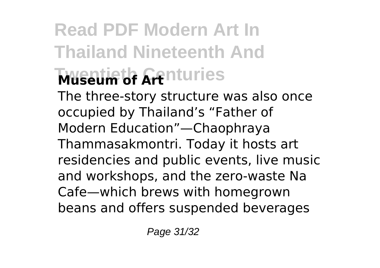# **Read PDF Modern Art In Thailand Nineteenth And Museum of Arthuries**

The three-story structure was also once occupied by Thailand's "Father of Modern Education"—Chaophraya Thammasakmontri. Today it hosts art residencies and public events, live music and workshops, and the zero-waste Na Cafe—which brews with homegrown beans and offers suspended beverages